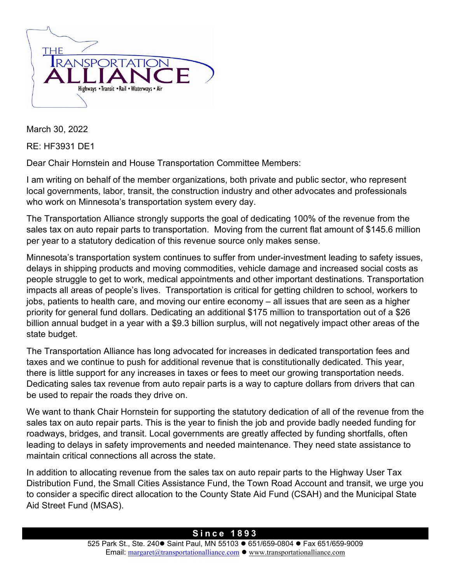

March 30, 2022

RE: HF3931 DE1

Dear Chair Hornstein and House Transportation Committee Members:

I am writing on behalf of the member organizations, both private and public sector, who represent local governments, labor, transit, the construction industry and other advocates and professionals who work on Minnesota's transportation system every day.

The Transportation Alliance strongly supports the goal of dedicating 100% of the revenue from the sales tax on auto repair parts to transportation. Moving from the current flat amount of \$145.6 million per year to a statutory dedication of this revenue source only makes sense.

Minnesota's transportation system continues to suffer from under-investment leading to safety issues, delays in shipping products and moving commodities, vehicle damage and increased social costs as people struggle to get to work, medical appointments and other important destinations. Transportation impacts all areas of people's lives. Transportation is critical for getting children to school, workers to jobs, patients to health care, and moving our entire economy – all issues that are seen as a higher priority for general fund dollars. Dedicating an additional \$175 million to transportation out of a \$26 billion annual budget in a year with a \$9.3 billion surplus, will not negatively impact other areas of the state budget.

The Transportation Alliance has long advocated for increases in dedicated transportation fees and taxes and we continue to push for additional revenue that is constitutionally dedicated. This year, there is little support for any increases in taxes or fees to meet our growing transportation needs. Dedicating sales tax revenue from auto repair parts is a way to capture dollars from drivers that can be used to repair the roads they drive on.

We want to thank Chair Hornstein for supporting the statutory dedication of all of the revenue from the sales tax on auto repair parts. This is the year to finish the job and provide badly needed funding for roadways, bridges, and transit. Local governments are greatly affected by funding shortfalls, often leading to delays in safety improvements and needed maintenance. They need state assistance to maintain critical connections all across the state.

In addition to allocating revenue from the sales tax on auto repair parts to the Highway User Tax Distribution Fund, the Small Cities Assistance Fund, the Town Road Account and transit, we urge you to consider a specific direct allocation to the County State Aid Fund (CSAH) and the Municipal State Aid Street Fund (MSAS).

## **Since 1893**